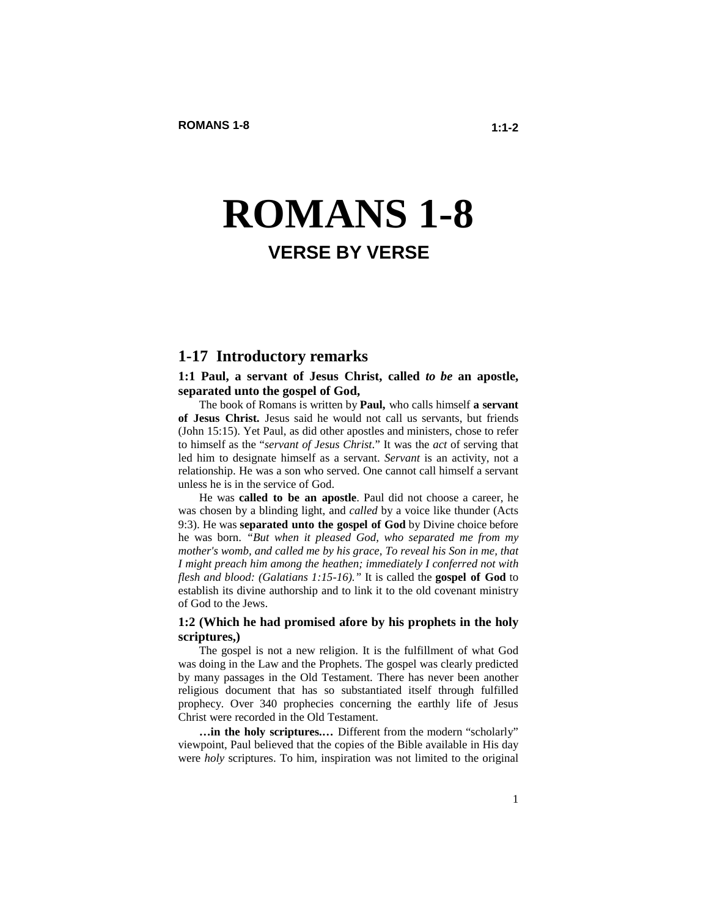# **ROMANS 1-8 VERSE BY VERSE**

# **1-17 Introductory remarks**

#### **1:1 Paul, a servant of Jesus Christ, called** *to be* **an apostle, separated unto the gospel of God,**

The book of Romans is written by **Paul,** who calls himself **a servant of Jesus Christ.** Jesus said he would not call us servants, but friends (John 15:15). Yet Paul, as did other apostles and ministers, chose to refer to himself as the "*servant of Jesus Christ*." It was the *act* of serving that led him to designate himself as a servant. *Servant* is an activity, not a relationship. He was a son who served. One cannot call himself a servant unless he is in the service of God.

He was **called to be an apostle**. Paul did not choose a career, he was chosen by a blinding light, and *called* by a voice like thunder (Acts 9:3). He was **separated unto the gospel of God** by Divine choice before he was born. *"But when it pleased God, who separated me from my mother's womb, and called me by his grace, To reveal his Son in me, that I might preach him among the heathen; immediately I conferred not with flesh and blood: (Galatians 1:15-16)."* It is called the **gospel of God** to establish its divine authorship and to link it to the old covenant ministry of God to the Jews.

#### **1:2 (Which he had promised afore by his prophets in the holy scriptures,)**

The gospel is not a new religion. It is the fulfillment of what God was doing in the Law and the Prophets. The gospel was clearly predicted by many passages in the Old Testament. There has never been another religious document that has so substantiated itself through fulfilled prophecy. Over 340 prophecies concerning the earthly life of Jesus Christ were recorded in the Old Testament.

**…in the holy scriptures.…** Different from the modern "scholarly" viewpoint, Paul believed that the copies of the Bible available in His day were *holy* scriptures. To him, inspiration was not limited to the original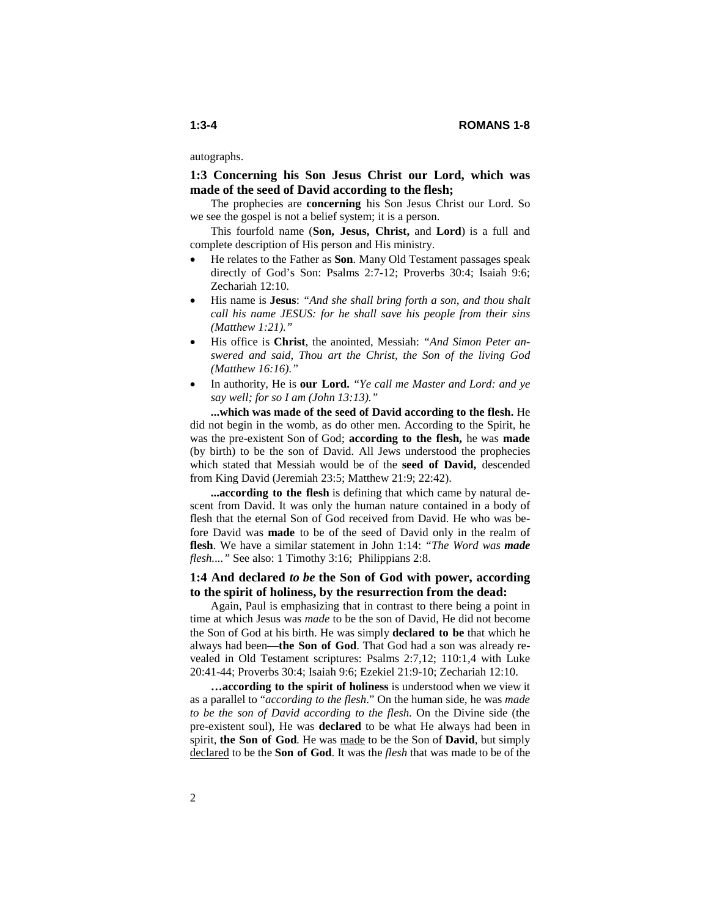autographs.

**1:3 Concerning his Son Jesus Christ our Lord, which was made of the seed of David according to the flesh;** 

The prophecies are **concerning** his Son Jesus Christ our Lord. So we see the gospel is not a belief system; it is a person.

This fourfold name (**Son, Jesus, Christ,** and **Lord**) is a full and complete description of His person and His ministry.

- He relates to the Father as **Son**. Many Old Testament passages speak directly of God's Son: Psalms 2:7-12; Proverbs 30:4; Isaiah 9:6; Zechariah 12:10.
- His name is **Jesus**: *"And she shall bring forth a son, and thou shalt call his name JESUS: for he shall save his people from their sins (Matthew 1:21)."*
- His office is **Christ**, the anointed, Messiah: *"And Simon Peter answered and said, Thou art the Christ, the Son of the living God (Matthew 16:16)."*
- In authority, He is **our Lord.** *"Ye call me Master and Lord: and ye say well; for so I am (John 13:13)."*

**...which was made of the seed of David according to the flesh.** He did not begin in the womb, as do other men. According to the Spirit, he was the pre-existent Son of God; **according to the flesh,** he was **made**  (by birth) to be the son of David. All Jews understood the prophecies which stated that Messiah would be of the **seed of David,** descended from King David (Jeremiah 23:5; Matthew 21:9; 22:42).

**...according to the flesh** is defining that which came by natural descent from David. It was only the human nature contained in a body of flesh that the eternal Son of God received from David. He who was before David was **made** to be of the seed of David only in the realm of **flesh**. We have a similar statement in John 1:14: *"The Word was made flesh...."* See also: 1 Timothy 3:16; Philippians 2:8.

# **1:4 And declared** *to be* **the Son of God with power, according to the spirit of holiness, by the resurrection from the dead:**

Again, Paul is emphasizing that in contrast to there being a point in time at which Jesus was *made* to be the son of David*,* He did not become the Son of God at his birth. He was simply **declared to be** that which he always had been—**the Son of God**. That God had a son was already revealed in Old Testament scriptures: Psalms 2:7,12; 110:1,4 with Luke 20:41-44; Proverbs 30:4; Isaiah 9:6; Ezekiel 21:9-10; Zechariah 12:10.

**…according to the spirit of holiness** is understood when we view it as a parallel to "*according to the flesh*." On the human side, he was *made to be the son of David according to the flesh*. On the Divine side (the pre-existent soul), He was **declared** to be what He always had been in spirit, **the Son of God**. He was made to be the Son of **David**, but simply declared to be the **Son of God**. It was the *flesh* that was made to be of the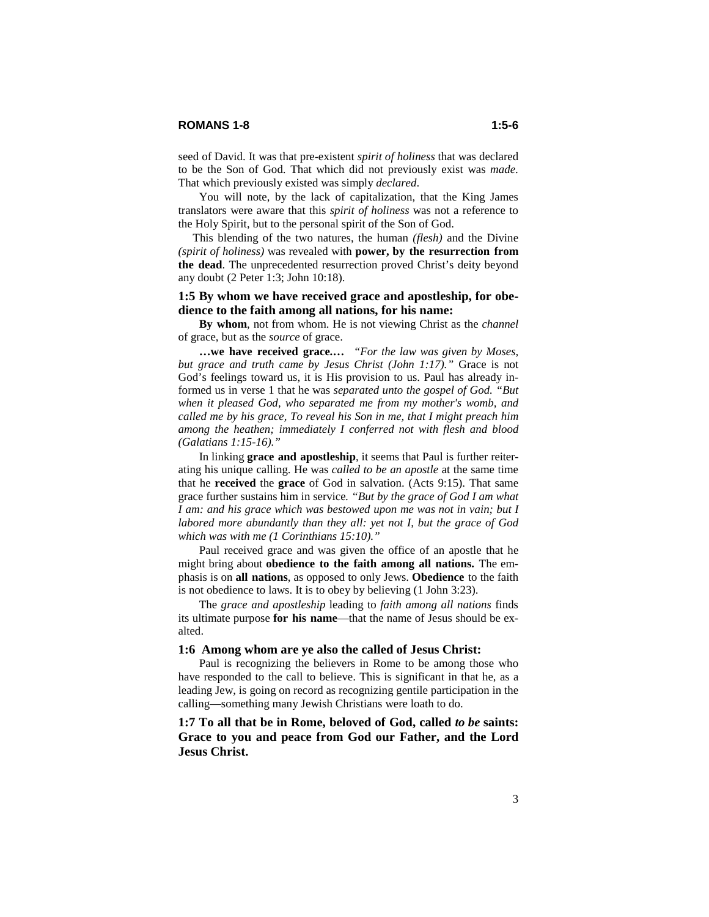You will note, by the lack of capitalization, that the King James translators were aware that this *spirit of holiness* was not a reference to the Holy Spirit, but to the personal spirit of the Son of God.

 This blending of the two natures, the human *(flesh)* and the Divine *(spirit of holiness)* was revealed with **power, by the resurrection from the dead**. The unprecedented resurrection proved Christ's deity beyond any doubt (2 Peter 1:3; John 10:18).

#### **1:5 By whom we have received grace and apostleship, for obedience to the faith among all nations, for his name:**

**By whom**, not from whom. He is not viewing Christ as the *channel* of grace, but as the *source* of grace.

**…we have received grace.…** *"For the law was given by Moses, but grace and truth came by Jesus Christ (John 1:17)."* Grace is not God's feelings toward us, it is His provision to us. Paul has already informed us in verse 1 that he was *separated unto the gospel of God. "But when it pleased God, who separated me from my mother's womb, and called me by his grace, To reveal his Son in me, that I might preach him among the heathen; immediately I conferred not with flesh and blood (Galatians 1:15-16)."*

In linking **grace and apostleship**, it seems that Paul is further reiterating his unique calling. He was *called to be an apostle* at the same time that he **received** the **grace** of God in salvation. (Acts 9:15). That same grace further sustains him in service*. "But by the grace of God I am what I am: and his grace which was bestowed upon me was not in vain; but I labored more abundantly than they all: yet not I, but the grace of God which was with me (1 Corinthians 15:10)."* 

Paul received grace and was given the office of an apostle that he might bring about **obedience to the faith among all nations.** The emphasis is on **all nations**, as opposed to only Jews. **Obedience** to the faith is not obedience to laws. It is to obey by believing (1 John 3:23).

 The *grace and apostleship* leading to *faith among all nations* finds its ultimate purpose **for his name**—that the name of Jesus should be exalted.

#### **1:6 Among whom are ye also the called of Jesus Christ:**

Paul is recognizing the believers in Rome to be among those who have responded to the call to believe. This is significant in that he, as a leading Jew, is going on record as recognizing gentile participation in the calling—something many Jewish Christians were loath to do.

**1:7 To all that be in Rome, beloved of God, called** *to be* **saints: Grace to you and peace from God our Father, and the Lord Jesus Christ.**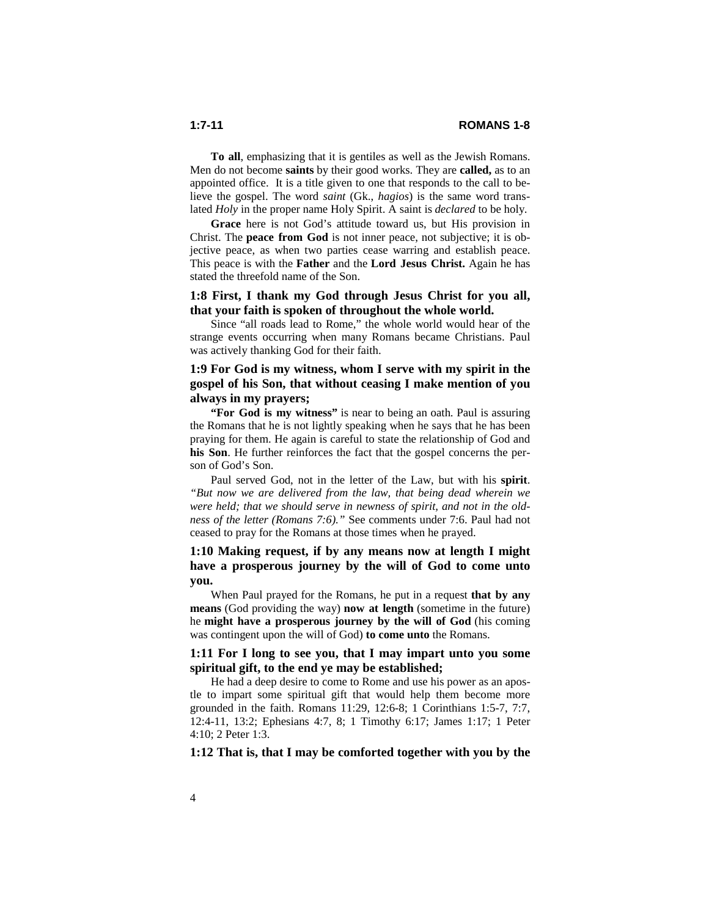**To all**, emphasizing that it is gentiles as well as the Jewish Romans. Men do not become **saints** by their good works. They are **called,** as to an appointed office. It is a title given to one that responds to the call to believe the gospel. The word *saint* (Gk., *hagios*) is the same word translated *Holy* in the proper name Holy Spirit. A saint is *declared* to be holy.

**Grace** here is not God's attitude toward us, but His provision in Christ. The **peace from God** is not inner peace, not subjective; it is objective peace, as when two parties cease warring and establish peace. This peace is with the **Father** and the **Lord Jesus Christ.** Again he has stated the threefold name of the Son.

# **1:8 First, I thank my God through Jesus Christ for you all, that your faith is spoken of throughout the whole world.**

Since "all roads lead to Rome," the whole world would hear of the strange events occurring when many Romans became Christians. Paul was actively thanking God for their faith.

# **1:9 For God is my witness, whom I serve with my spirit in the gospel of his Son, that without ceasing I make mention of you always in my prayers;**

**"For God is my witness"** is near to being an oath. Paul is assuring the Romans that he is not lightly speaking when he says that he has been praying for them. He again is careful to state the relationship of God and **his Son**. He further reinforces the fact that the gospel concerns the person of God's Son.

Paul served God, not in the letter of the Law, but with his **spirit**. *"But now we are delivered from the law, that being dead wherein we were held; that we should serve in newness of spirit, and not in the oldness of the letter (Romans 7:6)."* See comments under 7:6. Paul had not ceased to pray for the Romans at those times when he prayed.

# **1:10 Making request, if by any means now at length I might have a prosperous journey by the will of God to come unto you.**

When Paul prayed for the Romans, he put in a request **that by any means** (God providing the way) **now at length** (sometime in the future) he **might have a prosperous journey by the will of God** (his coming was contingent upon the will of God) **to come unto** the Romans.

### **1:11 For I long to see you, that I may impart unto you some spiritual gift, to the end ye may be established;**

He had a deep desire to come to Rome and use his power as an apostle to impart some spiritual gift that would help them become more grounded in the faith. Romans 11:29, 12:6-8; 1 Corinthians 1:5-7, 7:7, 12:4-11, 13:2; Ephesians 4:7, 8; 1 Timothy 6:17; James 1:17; 1 Peter 4:10; 2 Peter 1:3.

### **1:12 That is, that I may be comforted together with you by the**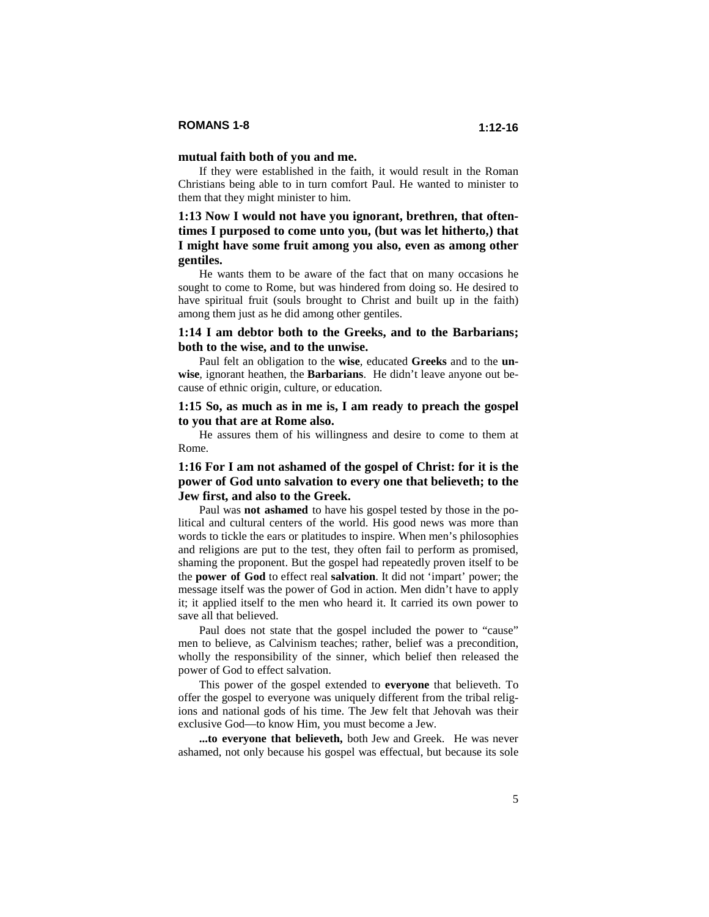#### **mutual faith both of you and me.**

If they were established in the faith, it would result in the Roman Christians being able to in turn comfort Paul. He wanted to minister to them that they might minister to him.

# **1:13 Now I would not have you ignorant, brethren, that oftentimes I purposed to come unto you, (but was let hitherto,) that I might have some fruit among you also, even as among other gentiles.**

He wants them to be aware of the fact that on many occasions he sought to come to Rome, but was hindered from doing so. He desired to have spiritual fruit (souls brought to Christ and built up in the faith) among them just as he did among other gentiles.

#### **1:14 I am debtor both to the Greeks, and to the Barbarians; both to the wise, and to the unwise.**

Paul felt an obligation to the **wise***,* educated **Greeks** and to the **unwise***,* ignorant heathen, the **Barbarians**. He didn't leave anyone out because of ethnic origin, culture, or education.

#### **1:15 So, as much as in me is, I am ready to preach the gospel to you that are at Rome also.**

He assures them of his willingness and desire to come to them at Rome.

### **1:16 For I am not ashamed of the gospel of Christ: for it is the power of God unto salvation to every one that believeth; to the Jew first, and also to the Greek.**

Paul was **not ashamed** to have his gospel tested by those in the political and cultural centers of the world. His good news was more than words to tickle the ears or platitudes to inspire. When men's philosophies and religions are put to the test, they often fail to perform as promised, shaming the proponent. But the gospel had repeatedly proven itself to be the **power of God** to effect real **salvation**. It did not 'impart' power; the message itself was the power of God in action. Men didn't have to apply it; it applied itself to the men who heard it. It carried its own power to save all that believed.

Paul does not state that the gospel included the power to "cause" men to believe, as Calvinism teaches; rather, belief was a precondition, wholly the responsibility of the sinner, which belief then released the power of God to effect salvation.

This power of the gospel extended to **everyone** that believeth. To offer the gospel to everyone was uniquely different from the tribal religions and national gods of his time. The Jew felt that Jehovah was their exclusive God—to know Him, you must become a Jew.

**...to everyone that believeth,** both Jew and Greek.He was never ashamed, not only because his gospel was effectual, but because its sole